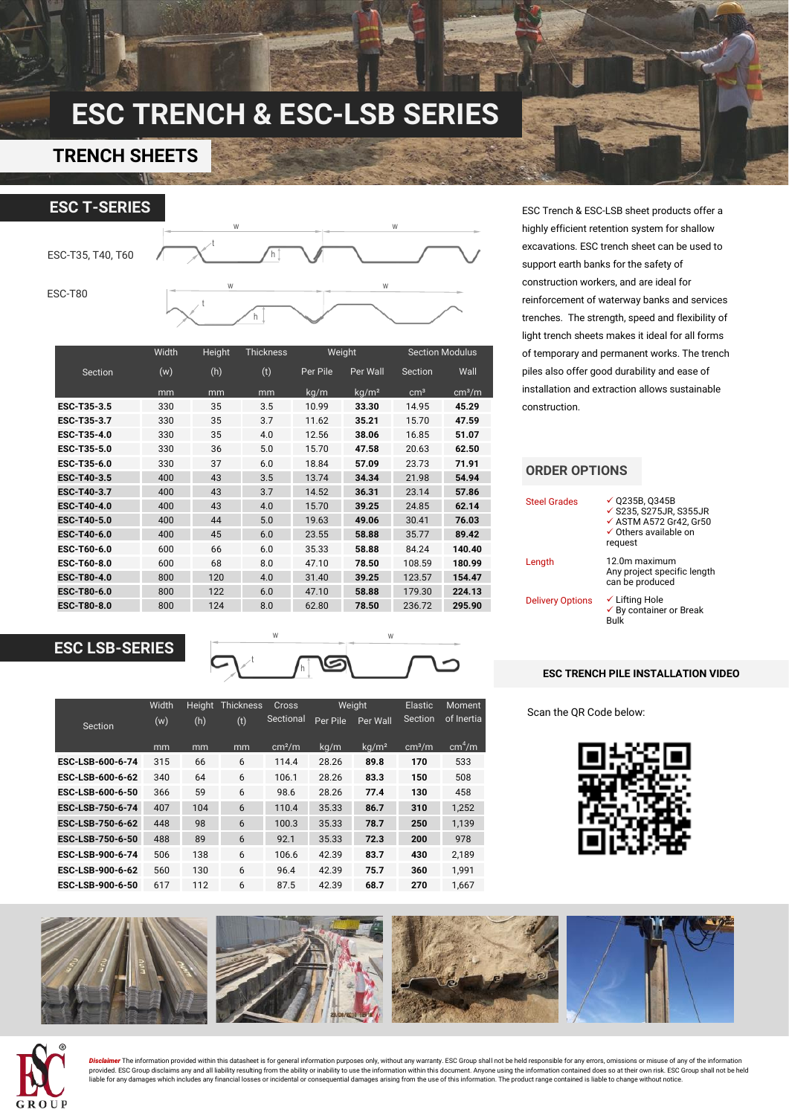# **ESC TRENCH & ESC-LSB SERIES**

### **TRENCH SHEETS**



|             | Width | Height | <b>Thickness</b> | Weight   |                   | <b>Section Modulus</b> |                    |
|-------------|-------|--------|------------------|----------|-------------------|------------------------|--------------------|
| Section     | (w)   | (h)    | (t)              | Per Pile | Per Wall          | Section                | Wall               |
|             | mm    | mm     | mm               | kg/m     | kg/m <sup>2</sup> | cm <sup>3</sup>        | cm <sup>3</sup> /m |
| ESC-T35-3.5 | 330   | 35     | 3.5              | 10.99    | 33.30             | 14.95                  | 45.29              |
| ESC-T35-3.7 | 330   | 35     | 3.7              | 11.62    | 35.21             | 15.70                  | 47.59              |
| ESC-T35-4.0 | 330   | 35     | 4.0              | 12.56    | 38.06             | 16.85                  | 51.07              |
| ESC-T35-5.0 | 330   | 36     | 5.0              | 15.70    | 47.58             | 20.63                  | 62.50              |
| ESC-T35-6.0 | 330   | 37     | 6.0              | 18.84    | 57.09             | 23.73                  | 71.91              |
| ESC-T40-3.5 | 400   | 43     | 3.5              | 13.74    | 34.34             | 21.98                  | 54.94              |
| ESC-T40-3.7 | 400   | 43     | 3.7              | 14.52    | 36.31             | 23.14                  | 57.86              |
| ESC-T40-4.0 | 400   | 43     | 4.0              | 15.70    | 39.25             | 24.85                  | 62.14              |
| ESC-T40-5.0 | 400   | 44     | 5.0              | 19.63    | 49.06             | 30.41                  | 76.03              |
| ESC-T40-6.0 | 400   | 45     | 6.0              | 23.55    | 58.88             | 35.77                  | 89.42              |
| ESC-T60-6.0 | 600   | 66     | 6.0              | 35.33    | 58.88             | 84.24                  | 140.40             |
| ESC-T60-8.0 | 600   | 68     | 8.0              | 47.10    | 78.50             | 108.59                 | 180.99             |
| ESC-T80-4.0 | 800   | 120    | 4.0              | 31.40    | 39.25             | 123.57                 | 154.47             |
| ESC-T80-6.0 | 800   | 122    | 6.0              | 47.10    | 58.88             | 179.30                 | 224.13             |
| ESC-T80-8.0 | 800   | 124    | 8.0              | 62.80    | 78.50             | 236.72                 | 295.90             |

### **ESC LSB-SERIES**



|                  | Width | Thickness<br><b>Height</b> |     | Cross              |          | Weiaht            |                    | <b>Moment</b>      |  |
|------------------|-------|----------------------------|-----|--------------------|----------|-------------------|--------------------|--------------------|--|
| Section          | (w)   | (h)                        | (t) | Sectional          | Per Pile | Per Wall          | Section            | of Inertia         |  |
|                  | mm    | mm                         | mm  | cm <sup>2</sup> /m | kg/m     | kq/m <sup>2</sup> | cm <sup>3</sup> /m | cm <sup>4</sup> /m |  |
| ESC-LSB-600-6-74 | 315   | 66                         | 6   | 114.4              | 28.26    | 89.8              | 170                | 533                |  |
| ESC-LSB-600-6-62 | 340   | 64                         | 6   | 106.1              | 28.26    | 83.3              | 150                | 508                |  |
| ESC-LSB-600-6-50 | 366   | 59                         | 6   | 98.6               | 28.26    | 77.4              | 130                | 458                |  |
| ESC-LSB-750-6-74 | 407   | 104                        | 6   | 110.4              | 35.33    | 86.7              | 310                | 1.252              |  |
| ESC-LSB-750-6-62 | 448   | 98                         | 6   | 100.3              | 35.33    | 78.7              | 250                | 1.139              |  |
| ESC-LSB-750-6-50 | 488   | 89                         | 6   | 92.1               | 35.33    | 72.3              | 200                | 978                |  |
| ESC-LSB-900-6-74 | 506   | 138                        | 6   | 106.6              | 42.39    | 83.7              | 430                | 2.189              |  |
| ESC-LSB-900-6-62 | 560   | 130                        | 6   | 96.4               | 42.39    | 75.7              | 360                | 1.991              |  |
| ESC-LSB-900-6-50 | 617   | 112                        | 6   | 87.5               | 42.39    | 68.7              | 270                | 1.667              |  |

ESC Trench & ESC-LSB sheet products offer a highly efficient retention system for shallow excavations. ESC trench sheet can be used to support earth banks for the safety of construction workers, and are ideal for reinforcement of waterway banks and services trenches. The strength, speed and flexibility of light trench sheets makes it ideal for all forms of temporary and permanent works. The trench piles also offer good durability and ease of installation and extraction allows sustainable construction.

### **ORDER OPTIONS**

| <b>Steel Grades</b>     | $\times$ 0235B. 0345B<br>✔ S235, S275JR, S355JR<br>$\checkmark$ ASTM A572 Gr42. Gr50<br>$\checkmark$ Others available on<br>request |
|-------------------------|-------------------------------------------------------------------------------------------------------------------------------------|
| Length                  | 12.0m maximum<br>Any project specific length<br>can be produced                                                                     |
| <b>Delivery Options</b> | $\checkmark$ Lifting Hole<br>$\checkmark$ By container or Break<br>Bulk                                                             |

#### **ESC TRENCH PILE INSTALLATION VIDEO**

Scan the QR Code below:







<mark>Disclaimer</mark> The information provided within this datasheet is for general information purposes only, without any warranty. ESC Group shall not be held responsible for any errors, omissions or misuse of any of the informat liable for any damages which includes any financial losses or incidental or consequential damages arising from the use of this information. The product range contained is liable to change without notice.